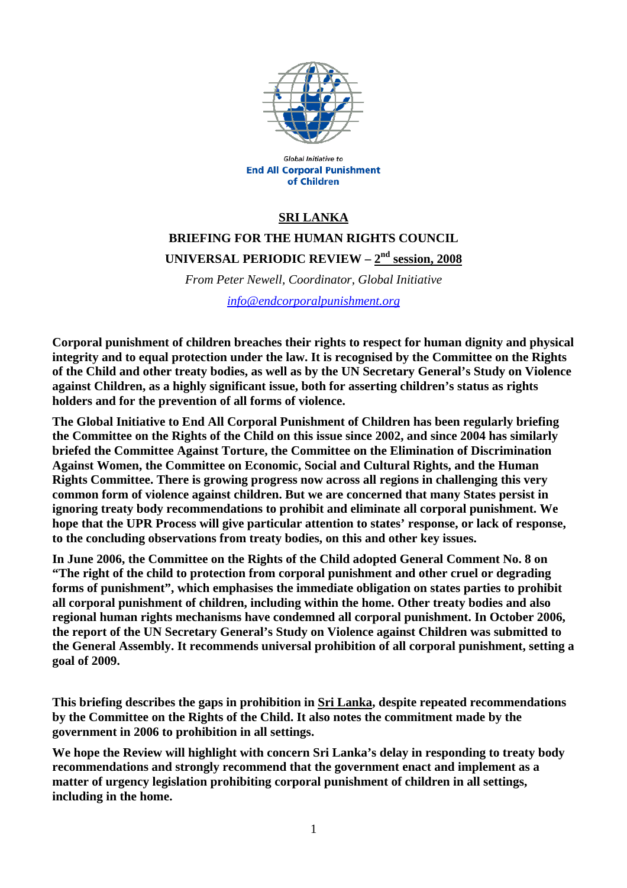

**Global Initiative to End All Corporal Punishment** of Children

# **SRI LANKA**

**BRIEFING FOR THE HUMAN RIGHTS COUNCIL** 

**UNIVERSAL PERIODIC REVIEW – 2nd session, 2008**

*From Peter Newell, Coordinator, Global Initiative* 

*info@endcorporalpunishment.org*

**Corporal punishment of children breaches their rights to respect for human dignity and physical integrity and to equal protection under the law. It is recognised by the Committee on the Rights of the Child and other treaty bodies, as well as by the UN Secretary General's Study on Violence against Children, as a highly significant issue, both for asserting children's status as rights holders and for the prevention of all forms of violence.** 

**The Global Initiative to End All Corporal Punishment of Children has been regularly briefing the Committee on the Rights of the Child on this issue since 2002, and since 2004 has similarly briefed the Committee Against Torture, the Committee on the Elimination of Discrimination Against Women, the Committee on Economic, Social and Cultural Rights, and the Human Rights Committee. There is growing progress now across all regions in challenging this very common form of violence against children. But we are concerned that many States persist in ignoring treaty body recommendations to prohibit and eliminate all corporal punishment. We hope that the UPR Process will give particular attention to states' response, or lack of response, to the concluding observations from treaty bodies, on this and other key issues.** 

**In June 2006, the Committee on the Rights of the Child adopted General Comment No. 8 on "The right of the child to protection from corporal punishment and other cruel or degrading forms of punishment", which emphasises the immediate obligation on states parties to prohibit all corporal punishment of children, including within the home. Other treaty bodies and also regional human rights mechanisms have condemned all corporal punishment. In October 2006, the report of the UN Secretary General's Study on Violence against Children was submitted to the General Assembly. It recommends universal prohibition of all corporal punishment, setting a goal of 2009.** 

**This briefing describes the gaps in prohibition in Sri Lanka, despite repeated recommendations by the Committee on the Rights of the Child. It also notes the commitment made by the government in 2006 to prohibition in all settings.** 

**We hope the Review will highlight with concern Sri Lanka's delay in responding to treaty body recommendations and strongly recommend that the government enact and implement as a matter of urgency legislation prohibiting corporal punishment of children in all settings, including in the home.**